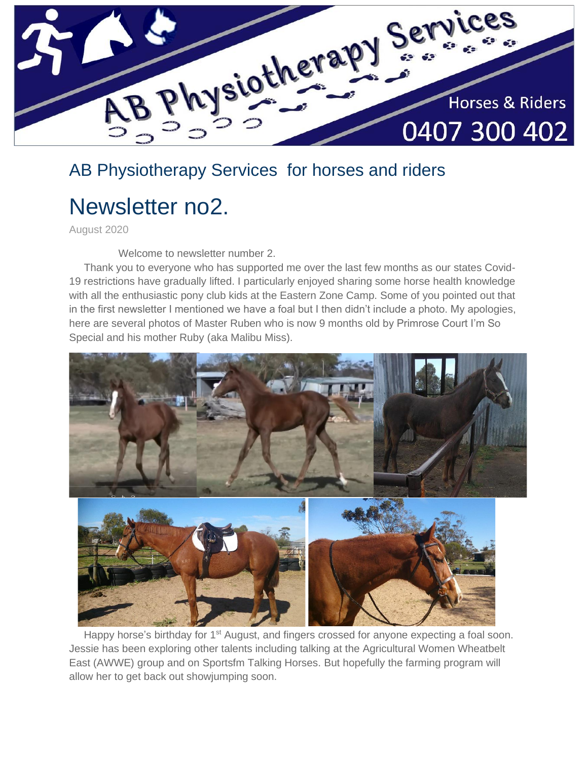

## AB Physiotherapy Services for horses and riders

# Newsletter no2.

August 2020

Welcome to newsletter number 2.

 Thank you to everyone who has supported me over the last few months as our states Covid-19 restrictions have gradually lifted. I particularly enjoyed sharing some horse health knowledge with all the enthusiastic pony club kids at the Eastern Zone Camp. Some of you pointed out that in the first newsletter I mentioned we have a foal but I then didn't include a photo. My apologies, here are several photos of Master Ruben who is now 9 months old by Primrose Court I'm So Special and his mother Ruby (aka Malibu Miss).



Happy horse's birthday for 1<sup>st</sup> August, and fingers crossed for anyone expecting a foal soon. Jessie has been exploring other talents including talking at the Agricultural Women Wheatbelt East (AWWE) group and on Sportsfm Talking Horses. But hopefully the farming program will allow her to get back out showjumping soon.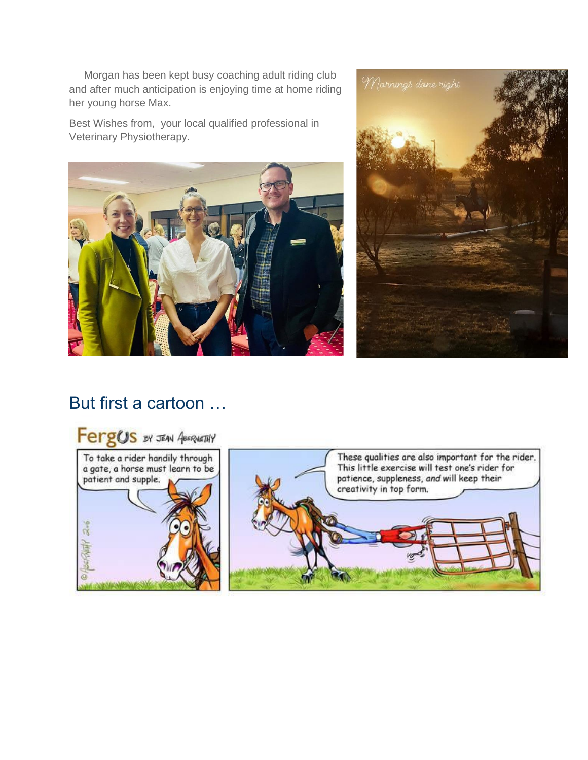Morgan has been kept busy coaching adult riding club and after much anticipation is enjoying time at home riding her young horse Max.

Best Wishes from, your local qualified professional in Veterinary Physiotherapy.





# But first a cartoon …



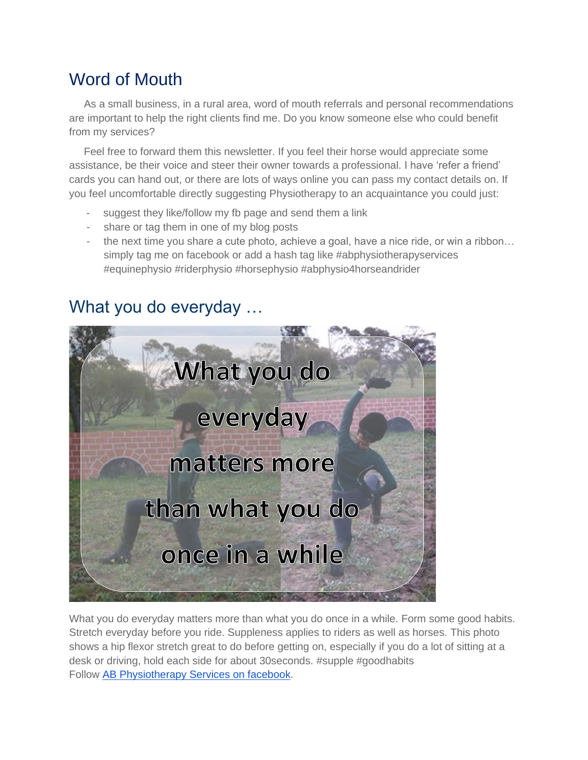## Word of Mouth

 As a small business, in a rural area, word of mouth referrals and personal recommendations are important to help the right clients find me. Do you know someone else who could benefit from my services?

 Feel free to forward them this newsletter. If you feel their horse would appreciate some assistance, be their voice and steer their owner towards a professional. I have 'refer a friend' cards you can hand out, or there are lots of ways online you can pass my contact details on. If you feel uncomfortable directly suggesting Physiotherapy to an acquaintance you could just:

- suggest they like/follow my fb page and send them a link
- share or tag them in one of my blog posts
- the next time you share a cute photo, achieve a goal, have a nice ride, or win a ribbon... simply tag me on facebook or add a hash tag like #abphysiotherapyservices #equinephysio #riderphysio #horsephysio #abphysio4horseandrider

## What you do everyday …



What you do everyday matters more than what you do once in a while. Form some good habits. Stretch everyday before you ride. Suppleness applies to riders as well as horses. This photo shows a hip flexor stretch great to do before getting on, especially if you do a lot of sitting at a desk or driving, hold each side for about 30seconds. #supple #goodhabits Follow [AB Physiotherapy Services on facebook.](https://www.facebook.com/ABPhysiotherapyServicesforanimals/)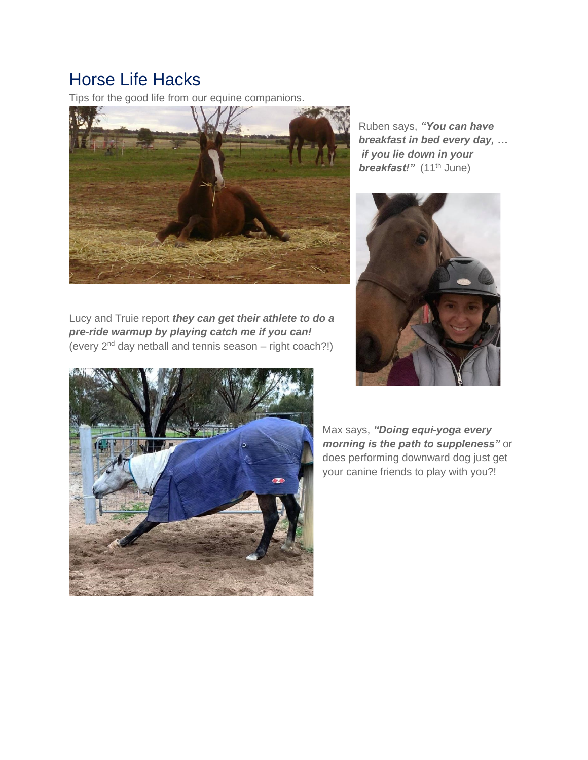# Horse Life Hacks

Tips for the good life from our equine companions.



Ruben says, *"You can have breakfast in bed every day, … if you lie down in your breakfast!"* (11<sup>th</sup> June)



Lucy and Truie report *they can get their athlete to do a pre-ride warmup by playing catch me if you can!* (every  $2^{nd}$  day netball and tennis season – right coach?!)



Max says, *"Doing equi-yoga every morning is the path to suppleness"* or does performing downward dog just get your canine friends to play with you?!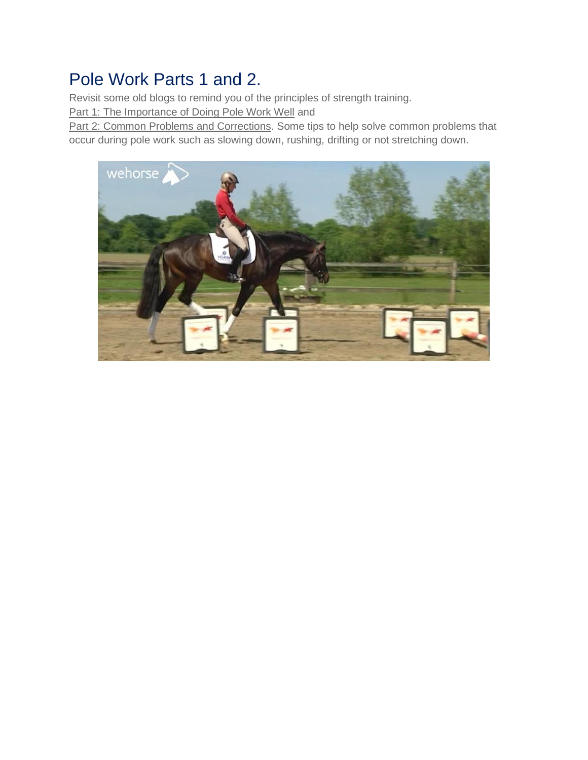### Pole Work Parts 1 and 2.

Revisit some old blogs to remind you of the principles of strength training.

Part 1: The Importance of Doing Pole Work Well and

Part 2: Common Problems and Corrections. Some tips to help solve common problems that occur during pole work such as slowing down, rushing, drifting or not stretching down.